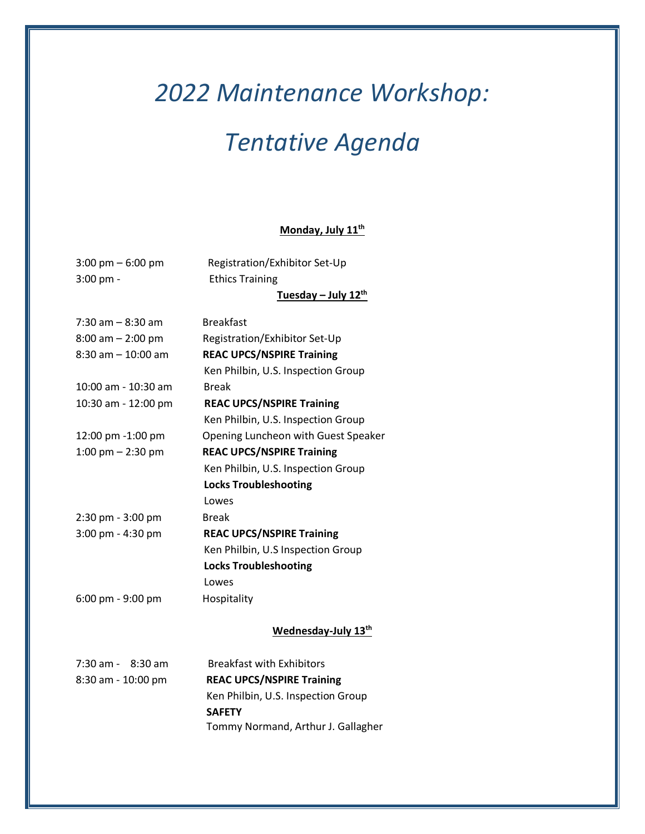# *2022 Maintenance Workshop:*

## *Tentative Agenda*

#### **Monday, July 11th**

3:00 pm – 6:00 pm Registration/Exhibitor Set-Up 3:00 pm - Ethics Training **Tuesday – July 12th**   $7:30$  am  $-8:30$  am Breakfast

8:00 am – 2:00 pm Registration/Exhibitor Set-Up 8:30 am – 10:00 am **REAC UPCS/NSPIRE Training**  Ken Philbin, U.S. Inspection Group 10:00 am - 10:30 am Break 10:30 am - 12:00 pm **REAC UPCS/NSPIRE Training**  Ken Philbin, U.S. Inspection Group 12:00 pm -1:00 pm Opening Luncheon with Guest Speaker 1:00 pm – 2:30 pm **REAC UPCS/NSPIRE Training**  Ken Philbin, U.S. Inspection Group  **Locks Troubleshooting** 

2:30 pm - 3:00 pm Break 3:00 pm - 4:30 pm **REAC UPCS/NSPIRE Training**

6:00 pm - 9:00 pm Hospitality

#### **Wednesday-July 13th**

Ken Philbin, U.S Inspection Group

 **Locks Troubleshooting** 

| $7:30$ am - $8:30$ am | <b>Breakfast with Exhibitors</b>   |
|-----------------------|------------------------------------|
| $8:30$ am - 10:00 pm  | <b>REAC UPCS/NSPIRE Training</b>   |
|                       | Ken Philbin, U.S. Inspection Group |
|                       | <b>SAFETY</b>                      |
|                       | Tommy Normand, Arthur J. Gallagher |

Lowes

Lowes